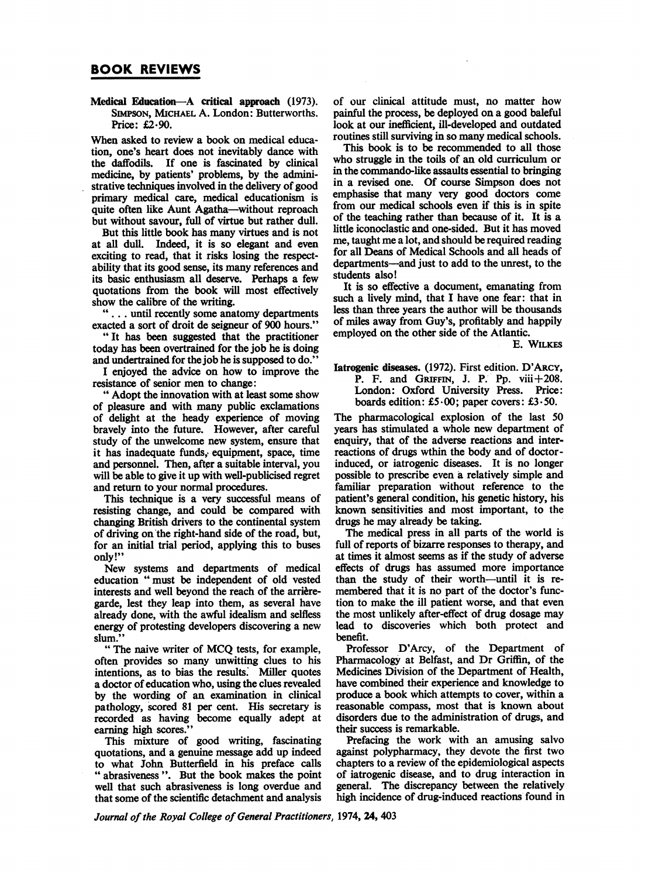Medical Education-A critical approach (1973). SIMPSON, MICHAEL A. London: Butterworths. Price: £2.90.

When asked to review a book on medical education, one's heart does not inevitably dance with the daffodils. If one is fascinated by clinical medicine, by patients' problems, by the administrative techniques involved in the delivery of good primary medical care, medical educationism is quite often like Aunt Agatha-without reproach but without savour, full of virtue but rather dull.

But this little book has many virtues and is not at all dull. Indeed, it is so elegant and even exciting to read, that it risks losing the respectability that its good sense, its many references and its basic enthusiasm all deserve. Perhaps a few quotations from the book will most effectively show the calibre of the writing.

.... until recently some anatomy departments exacted a sort of droit de seigneur of 900 hours."

" It has been suggested that the practitioner today has been overtrained for the job he is doing and undertrained for the job he is supposed to do.'

<sup>I</sup> enjoyed the advice on how to improve the resistance of senior men to change:

" Adopt the innovation with at least some show of pleasure and with many public exclamations of delight at the heady experience of moving bravely into the future. However, after careful study of the unwelcome new system, ensure that it has inadequate funds; equipment, space, time and personnel. Then, after a suitable interval, you will be able to give it up with well-publicised regret and return to your normal procedures.

This technique is a very successful means of resisting change, and could be compared with changing British drivers to the continental system of driving on the right-hand side of the road, but, for an initial trial period, applying this to buses only!"

New systems and departments of medical education " must be independent of old vested interests and well beyond the reach of the arrieregarde, lest they leap into them, as several have already done, with the awful idealism and selfless energy of protesting developers discovering a new slum.'

" The naive writer of MCQ tests, for example, often provides so many unwitting clues to his intentions, as to bias the results. Miller quotes a doctor of education who, using the clues revealed by the wording of an examination in clinical pathology, scored 81 per cent. His secretary is recorded as having become equally adept at earning high scores.

This mixture of good writing, fascinating quotations, and a genuine message add up indeed to what John Butterfield in his preface calls " abrasiveness ". But the book makes the point well that such abrasiveness is long overdue and that some of the scientific detachment and analysis

of our clinical attitude must, no matter how painful the process, be deployed on a good baleful look at our inefficient, ill-developed and outdated routines still surviving in so many medical schools.

This book is to be recommended to all those who struggle in the toils of an old curriculum or in the commando-like assaults essential to bringing in a revised one. Of course Simpson does not emphasise that many very good doctors come from our medical schools even if this is in spite of the teaching rather than because of it. It is a little iconoclastic and one-sided. But it has moved me, taught me a lot, and should be required reading for all Deans of Medical Schools and all heads of departments-and just to add to the unrest, to the students also!

It is so effective a document, emanating from such a lively mind, that I have one fear: that in less than three years the author will be thousands of miles away from Guy's, profitably and happily employed on the other side of the Atlantic.

E. WILKES

Tatrogenic diseases. (1972). First edition. D'ARCY, P. F. and GRIFFIN, J. P. Pp.  $viii+208$ . London: Oxford University Press. Price: boards edition: £5.00; paper covers: £3-50.

The pharmacological explosion of the last 50 years has stimulated a whole new department of enquiry, that of the adverse reactions and interreactions of drugs wthin the body and of doctorinduced, or iatrogenic diseases. It is no longer possible to prescribe even a relatively simple and familiar preparation without reference to the patient's general condition, his genetic history, his known sensitivities and most important, to the drugs he may already be taking.

The medical press in all parts of the world is full of reports of bizarre responses to therapy, and at times it almost seems as if the study of adverse effects of drugs has assumed more importance than the study of their worth-until it is remembered that it is no part of the doctor's function to make the ill patient worse, and that even the most unlikely after-effect of drug dosage may lead to discoveries which both protect and benefit.

Professor D'Arcy, of the Department of Pharmacology at Belfast, and Dr Griffin, of the Medicines Division of the Department of Health, have combined their experience and knowledge to produce a book which attempts to cover, within a reasonable compass, most that is known about disorders due to the administration of drugs, and their success is remarkable.

Prefacing the work with an amusing salvo against polypharmacy, they devote the first two chapters to a review of the epidemiological aspects of iatrogenic disease, and to drug interaction in general. The discrepancy between the relatively high incidence of drug-induced reactions found in

Journal of the Royal College of General Practitioners, 1974, 24, 403